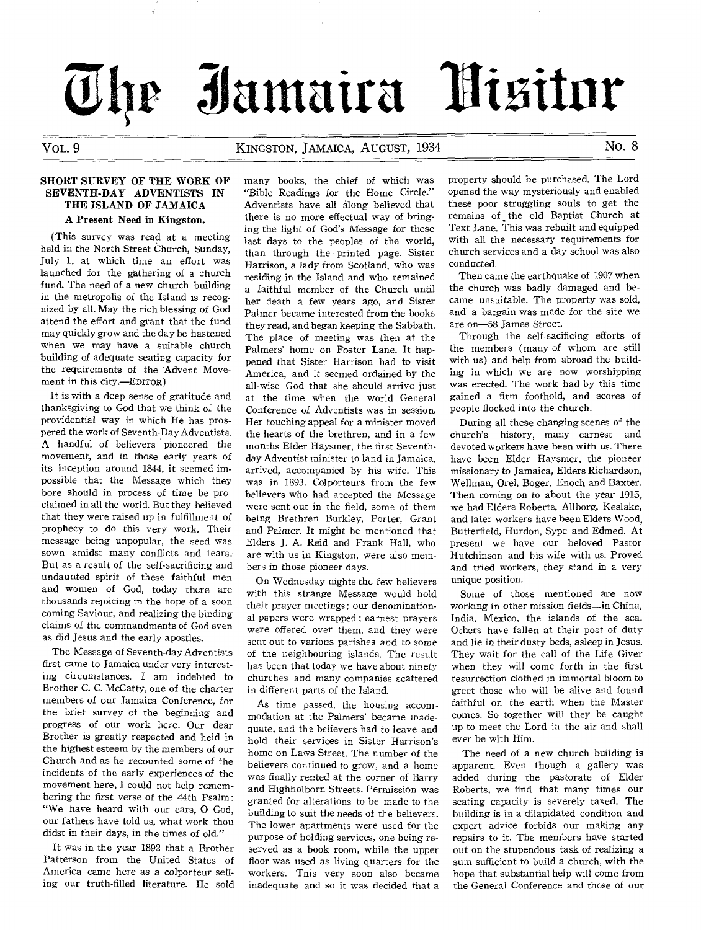# **tilamaira A**

# Vol,. 9 KINGSTON, JAMAICA, AUGUST, 1934 No. 8

## SHORT SURVEY OF THE WORK OF SEVENTH-DAY ADVENTISTS IN THE ISLAND OF JAMAICA

#### A Present Need in Kingston.

(This survey was read at a meeting held in the North Street Church, Sunday, July 1, at which time an effort was launched for the gathering of a church fund. The need of a new church building in the metropolis of the Island is recognized by all. May the rich blessing of God attend the effort and grant that the fund may quickly grow and the day be hastened when we may have a suitable church building of adequate seating capacity for the requirements of the Advent Movement in this city.—EDITOR)

It is with a deep sense of gratitude and thanksgiving to God that we think of the providential way in which He has prospered the work of Seventh-Day Adventists. A handful of believers pioneered the movement, and in those early years of its inception around 1844, it seemed impossible that the Message which they bore should in process of time be proclaimed in all the world. But they believed that they were raised up in fulfillment of prophecy to do this very work. Their message being unpopular, the seed was sown amidst many conflicts and tears. But as a result of the self-sacrificing and undaunted spirit of these faithful men and women of God, today there are thousands rejoicing in the hope of a soon coming Saviour, and realizing the binding claims of the commandments of God even as did Jesus and the early apostles.

The Message of Seventh-day Adventists first came to Jamaica under very interesting circumstances. I am indebted to Brother C. C. McCatty, one of the charter members of our Jamaica Conference, for the brief survey of the beginning and progress of our work here. Our dear Brother is greatly respected and held in the highest esteem by the members of our Church and as he recounted some of the incidents of the early experiences of the movement here, I could not help remembering the first verse of the 44th Psalm : "We have heard with our ears, 0 God, our fathers have told us, what work thou didst in their days, in the times of old."

It was in the year 1892 that a Brother Patterson from the United States of America came here as a colporteur selling our truth-filled literature. He sold many books, the chief of which was "Bible Readings for the Home Circle." Adventists have all along believed that there is no more effectual way of bringing the light of God's Message for these last days to the peoples of the world, than through the printed page. Sister Harrison, a lady from Scotland, who was residing in the Island and who remained a faithful member of the Church until her death a few years ago, and Sister Palmer became interested from the books they read, and began keeping the Sabbath. The place of meeting was then at the Palmers' home on Foster Lane. It happened that Sister Harrison had to visit America, and it seemed ordained by the all-wise God that she should arrive just at the time when the world General Conference of Adventists was in session. Her touching appeal for a minister moved the hearts of the brethren, and in a few months Elder Haysmer, the first Seventhday Adventist minister to land in Jamaica, arrived, accompanied by his wife. This was in 1893. Colporteurs from the few believers who had accepted the Message were sent out in the field, some of them being Brethren Burkley, Porter, Grant and Palmer. It might be mentioned that Elders J. A. Reid and Frank Hall, who are with us in Kingston, were also members in those pioneer days.

On Wednesday nights the few believers with this strange Message would hold their prayer *meetings;* our denominational papers were wrapped ; earnest prayers were offered over them, and they were sent out to various parishes and to some of the neighbouring islands. The result has been that today we have about ninety churches and many companies scattered in different parts of the Island.

As time passed, the housing accommodation at the Palmers' became inadequate, and the believers had to leave and hold their services in Sister Harrison's home on Laws Street. The number of the believers continued to grow, and a home was finally rented at the corner of Barry and Highholborn Streets. Permission was granted for alterations to be made to the building to suit the needs of the believers. The lower apartments were used for the purpose of holding services, one being reserved as a book room, while the upper floor was used as living quarters for the workers. This very soon also became inadequate and so it was decided that a

property should be purchased. The Lord opened the way mysteriously and enabled these poor struggling souls to get the remains of the old Baptist Church at Text Lane. This was rebuilt and equipped with all the necessary requirements for church services and a day school was also conducted.

Then came the earthquake of 1907 when the church was badly damaged and became unsuitable. The property was sold, and a bargain was made for the site we are on-58 James Street.

Through the self-sacificing efforts of the members (many of whom are still with us) and help from abroad the building in which we are now worshipping was erected. The work had by this time gained a firm foothold, and scores of people flocked into the church.

During all these changing scenes of the church's history, many earnest and devoted workers have been with us. There have been Elder Haysmer, the pioneer missionary to Jamaica, Elders Richardson, Wellman, Orel, Boger, Enoch and Baxter. Then coming on to about the year 1915, we had Elders Roberts, Allborg, Keslake, and later workers have been Elders Wood, Butterfield, Hurdon, Sype and Edmed. At present we have our beloved Pastor Hutchinson and his wife with us. Proved and tried workers, they stand in a very unique position.

Some of those mentioned are now working in other mission fields—in China, India, Mexico, the islands of the sea. Others have fallen at their post of duty and lie in their dusty beds, asleep in Jesus. They wait for the call of the Life Giver when they will come forth in the first resurrection clothed in immortal bloom to greet those who will be alive and found faithful on the earth when the Master comes. So together will they be caught up to meet the Lord in the air and shall ever be with Him.

The need of a new church building is apparent. Even though a gallery was added during the pastorate of Elder Roberts, we find that many times our seating capacity is severely taxed. The building is in a dilapidated condition and expert advice forbids our making any repairs to it. The members have started out on the stupendous task of realizing a sum sufficient to build a church, with the hope that substantial help will come from the General Conference and those of our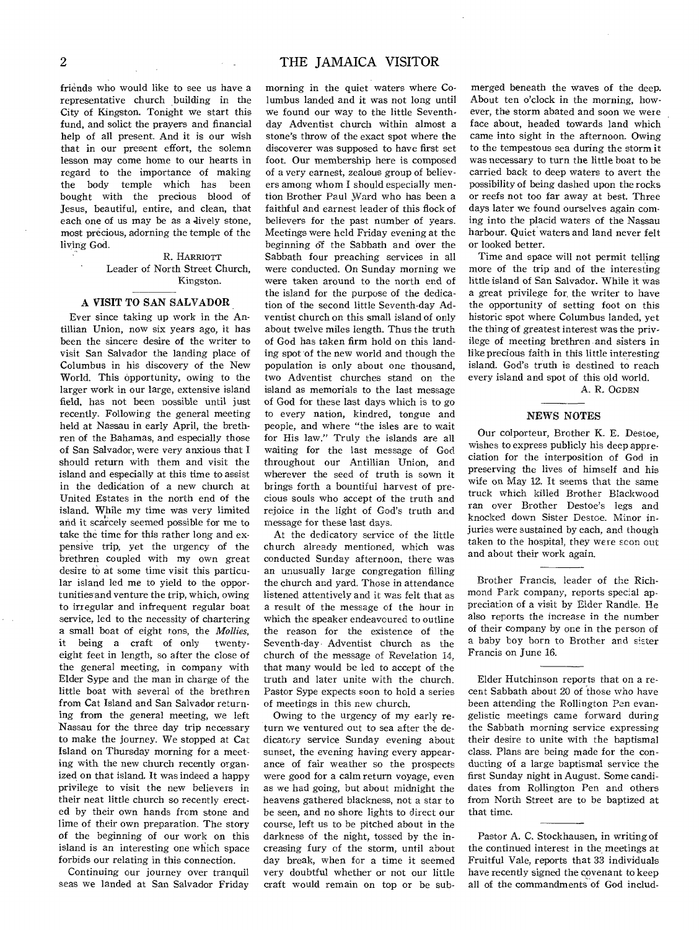friends who would like to see us have a representative church building in the City of Kingston. Tonight we start this fund, and solict the prayers and financial help of all present. And it is our wish that in our present effort, the solemn lesson may come home to our hearts in regard to the importance of making the body temple which has been bought with the precious blood of Jesus, beautiful, entire, and clean, that each one of us may be as a lively stone, most precious, adorning the temple of the living God.

#### R. HARRIOTT Leader of North Street Church, Kingston.

## A VISIT TO SAN SALVADOR

Ever since taking up work in the Antillian Union, now six years ago, it has been the sincere desire of the writer to visit San Salvador the landing place of Columbus in his discovery of the New World. This opportunity, owing to the larger work in our large, extensive island field, has not been possible until just recently. Following the general meeting held at Nassau in early April, the brethren of the Bahamas, and especially those of San Salvador, were very anxious that I should return with them and visit the island and especially at this time to assist in the dedication of a new church at United Estates in the north end of the island. While my time was very limited and it scarcely seemed possible for me to take the time for this rather long and expensive trip, yet the urgency of the brethren coupled with my own great desire to at some time visit this particular island led me to yield to the opportunities and venture the trip, which, owing to irregular and infrequent regular boat service, led to the necessity of chartering a small boat of eight tons, the *Mollies,*  it being a craft of only eight feet in length, so after the close of the general meeting, in company with Elder Sype and the man in charge of the little boat with several of the brethren from Cat Island and San Salvador returning from the general meeting, we left Nassau for the three day trip necessary to make the journey. We stopped at Cat Island on Thursday morning for a meeting with the new church recently organized on that island. It was indeed a happy privilege to visit the new believers in their neat little church so recently erected by their own hands from stone and lime of their own preparation. The story of the beginning of our work on this island is an interesting one which space forbids our relating in this connection.

Continuing our journey over tranquil seas we landed at San Salvador Friday

# 2 THE JAMAICA VISITOR

morning in the quiet waters where Columbus landed and it was not long until we found our way to the little Seventhday Adventist church within almost a stone's throw of the exact spot where the discoverer was supposed to have first set foot. Our membership here is composed of a very earnest, zealous group of believers among whom I should especially mention Brother Paul Ward who has been a faithful and earnest leader of this flock of believers for the past number of years. Meetings were held Friday evening at the beginning of the Sabbath and over the Sabbath four preaching services in all were conducted. On Sunday morning we were taken around to the north end of the island for the purpose of the dedication of the second little Seventh-day Adventist church on this small island of only about twelve miles length. Thus the truth of God has taken firm hold on this landing spot of the new world and though the population is only about one thousand, two Adventist churches stand on the island as memorials to the last message of God for these last days which is to go to every nation, kindred, tongue and people, and where "the isles are to wait for His law." Truly the islands are all waiting for the last message of God throughout our Antillian Union, and wherever the seed of truth is sown it brings forth a bountiful harvest of precious souls who accept of the truth and rejoice in the light of God's truth and message for these last days.

At the dedicatory service of the little church already mentioned, which was conducted Sunday afternoon, there was an unusually large congregation filling the church and yard. Those in attendance listened attentively and it was felt that as a result of the message of the hour in which the speaker endeavoured to outline the reason for the existence of the Seventh-day Adventist church as the church of the message of Revelation 14, that many would be led to accept of the truth and later unite with the church. Pastor Sype expects soon to hold a series of meetings in this new church.

Owing to the urgency of my early return we ventured out to sea after the dedicatory service Sunday evening about sunset, the evening having every appearance of fair weather so the prospects were good for a calm return voyage, even as we had going, but about midnight the heavens gathered blackness, not a star to be seen, and no shore lights to direct our course, left us to be pitched about in the darkness of the night, tossed by the increasing fury of the storm, until about day break, when for a time it seemed very doubtful whether or not our little craft would remain on top or be sub-

merged beneath the waves of the deep. About ten o'clock in the morning, however, the storm abated and soon we were face about, headed towards land which came into sight in the afternoon. Owing to the tempestous sea during the storm it was necessary to turn the little boat to be carried back to deep waters to avert the possibility of being dashed upon the rocks or reefs not too far away at best. Three days later we found ourselves again coming into the placid waters of the Nassau harbour. Quiet waters and land never felt or looked better.

Time and space will not permit telling more of the trip and of the interesting little island of San Salvador. While it was a great privilege for, the writer to have the opportunity of setting foot on this historic spot where Columbus landed, yet the thing of greatest interest was the privilege of meeting brethren and sisters in like precious faith in this little interesting island. God's truth is destined to reach every island and spot of this old world.

A. R. OGDEN

#### NEWS NOTES

Our colporteur, Brother K. E. Destoe, wishes to express publicly his deep appreciation for the interposition of God in preserving the lives of himself and his wife on May 12. It seems that the same truck which killed Brother Blackwood ran over Brother Destoe's legs and knocked down Sister Destoe. Minor injuries were sustained by each, and though taken to the hospital, they were scon out and about their work again.

Brother Francis, leader of the Richmond Park company, reports special appreciation of a visit by Elder Randle. He also reports the increase in the number of their company by one in the person of a baby boy born to Brother and sister Francis on June 16.

Elder Hutchinson reports that on a recent Sabbath about 20 of those who have been attending the Rollington Pen evangelistic meetings came forward during the Sabbath morning service expressing their desire to unite with the baptismal class. Plans are being made for the conducting of a large baptismal service the first Sunday night in August. Some candidates from Rollington Pen and others from North Street are to be baptized at that time.

Pastor A. C. Stockhausen, in writing of the continued interest in the meetings at Fruitful Vale, reports that 33 individuals have recently signed the covenant to keep all of the commandments of God includ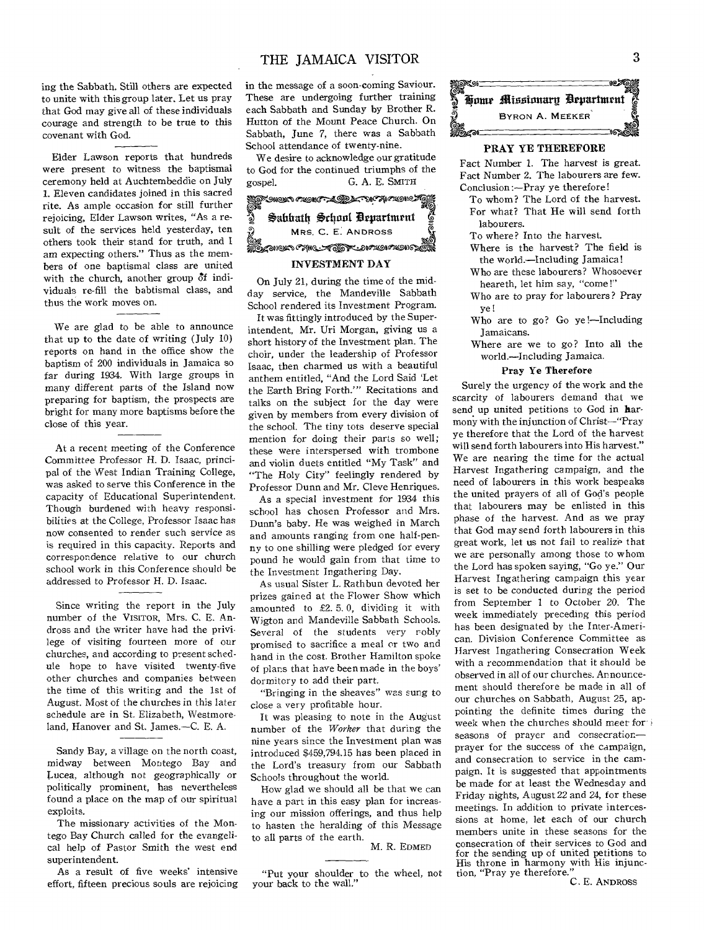ing the Sabbath. Still others are expected to unite with this group later. Let us pray that God may give all of these individuals courage and strength to be true to this covenant with God.

Elder Lawson reports that hundreds were present to witness the baptismal ceremony held at Auchtembeddie on July 1. Eleven candidates joined in this sacred rite. As ample occasion for still further rejoicing, Elder Lawson writes, "As a result of the services held yesterday, ten others took their stand for truth, and I am expecting others." Thus as the members of one baptismal class are united with the church, another group  $\delta f$  individuals re-fill the babtismal class, and thus the work moves on.

We are glad to be able to announce that up to the date of writing (July 10) reports on hand in the office show the baptism of 200 individuals in Jamaica so far during 1934. With large groups in many different parts of the Island now preparing for baptism, the prospects are bright for many more baptisms before the close of this year.

At a recent meeting of the Conference Committee Professor H. D. Isaac, principal of the West Indian Training College, was asked to serve this Conference in the capacity of Educational Superintendent. Though burdened with heavy responsibilities at the College, Professor Isaac has now consented to render such service as is required in this capacity. Reports and correspondence relative to our church school work in this Conference should be addressed to Professor H. D. Isaac.

Since writing the report in the July number of the VISITOR, Mrs. C. E. Andross and the writer have had the privilege of visiting fourteen more of our churches, and according to present schedule hope to have visited twenty-five other churches and companies between the time of this writing and the 1st of August. Most of the churches in this later schedule are in St. Elizabeth, Westmoreland, Hanover and St. James.—C. E. A.

Sandy Bay, a village on the north coast, midway between Montego Bay and Lucea, although not geographically or politically prominent, has nevertheless found a place on the map of our spiritual exploits.

The missionary activities of the Montego Bay Church called for the evangelical help of Pastor Smith the west end superintendent.

As a result of five weeks' intensive effort, fifteen precious souls are rejoicing

in the message of a soon-coming Saviour. These are undergoing further training each Sabbath and Sunday by Brother R. Hutton of the Mount Peace Church. On Sabbath, June 7, there was a Sabbath School attendance of twenty-nine.

We desire to acknowledge our gratitude to God for the continued triumphs of the gospel. G. A. E. SMITH



## INVESTMENT DAY

On July 21, during the time of the midday service, the Mandeville Sabbath School rendered its Investment Program.

It was fittingly introduced by the Superintendent, Mr. Uri Morgan, giving us a short history of the Investment plan. The choir, under the leadership of Professor Isaac, then charmed us with a beautiful anthem entitled, "And the Lord Said 'Let the Earth Bring Forth.'" Recitations and talks on the subject for the day were given by members from every division of the school. The tiny tots deserve special mention for doing their parts so well; these were interspersed with trombone and violin duets entitled "My Task" and "The Holy City" feelingly rendered by Professor Dunn and Mr. Cleve Henriques.

As a special investment for 1934 this school has chosen Professor and Mrs. Dunn's baby. He was weighed in March and amounts ranging from one half-penny to one shilling were pledged for every pound he would gain from that time to the Investment Ingathering Day.

As usual Sister L. Rathbun devoted her prizes gained at the Flower Show which amounted to £2. 5. 0, dividing it with Wigton and Mandeville Sabbath Schools. Several of the students very robly promised to sacrifice a meal or two and hand in the cost. Brother Hamilton spoke of plans that have been made in the boys' dormitory to add their part.

"Bringing in the sheaves" was sung to close a very profitable hour.

It was pleasing to note in the August number of the *Worker* that during the nine years since the Investment plan was introduced \$459,794.15 has been placed in the Lord's treasury from our Sabbath Schools throughout the world.

How glad we should all be that we can have a part in this easy plan for increasing our mission offerings, and thus help to hasten the heralding of this Message to all parts of the earth.

M. R. EDMED

"Put your shoulder to the wheel, not your back to the wall."



# PRAY YE THEREFORE

Fact Number 1. The harvest is great. Fact Number 2. The labourers are few. Conclusion :—Pray ye therefore!

To whom? The Lord of the harvest. For what? That He will send forth labourers.

To where? Into the harvest.

- Where is the harvest? The field is the world.—Including Jamaica!
- Who are these labourers? Whosoever heareth, let him say, "come!"
- Who are to pray for labourers? Pray ye!
- Who are to go? Go ye !—Including Jamaicans.
- Where are we to go? Into all the world.—Including Jamaica.

#### Pray Ye Therefore

Surely the urgency of the work and the scarcity of labourers demand that we send up united petitions to God in harmony with the injunction of Christ—"Pray ye therefore that the Lord of the harvest will send forth labourers into His harvest." We are nearing the time for the actual Harvest Ingathering campaign, and the need of labourers in this work bespeaks the united prayers of all of God's people that labourers may be enlisted in this phase of the harvest. And as we pray that God may send forth labourers in this great work, let us not fail to realize that we are personally among those to whom the Lord has spoken saying, "Go ye." Our Harvest Ingathering campaign this year is set to be conducted during the period from September 1 to October 20. The week immediately preceding this period has been designated by the Inter-American. Division Conference Committee as Harvest Ingathering Consecration Week with a recommendation that it should be observed in all of our churches. Announcement should therefore be made in all of our churches on Sabbath, August 25, appointing the definite times during the week when the churches should meet forseasons of prayer and consecrationprayer for the success of the campaign, and consecration to service in the campaign. It is suggested that appointments be made for at least the Wednesday and Friday nights, August 22 and 24, for these meetings. In addition to private intercessions at home, let each of our church members unite in these seasons for the consecration of their services to God and for the sending up of united petitions to His throne in harmony with His injunction, "Pray ye therefore."

C. E. ANDROSS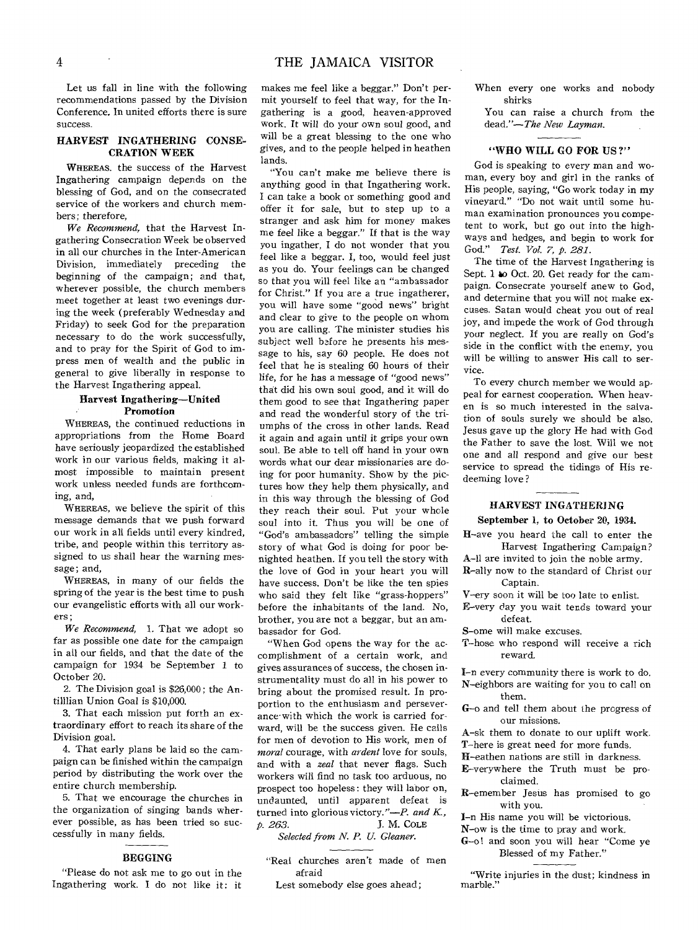Let us fall in line with the following recommendations passed by the Division Conference. In united efforts there is sure success.

## HARVEST INGATHERING CONSE-CRATION WEEK

WHEREAS, the success of the Harvest Ingathering campaign depends on the blessing of God, and on the consecrated service of the workers and church members; therefore,

*We Recommend,* that the Harvest Ingathering Consecration Week be observed in all our churches in the Inter-American Division, immediately preceding the beginning of the campaign; and that, wherever possible, the church members meet together at least two evenings during the week (preferably Wednesday and Friday) to seek God for the preparation necessary to do the work successfully, and to pray for the Spirit of God to impress men of wealth and the public in general to give liberally in response to the Harvest Ingathering appeal.

#### Harvest Ingathering—United Promotion

WHEREAS, the continued reductions in appropriations from the Home Board have seriously jeopardized the established work in our various fields, making it almost impossible to maintain present work unless needed funds are forthcoming, and,

WHEREAS, we believe the spirit of this message demands that we push forward our work in all fields until every kindred, tribe, and people within this territory assigned to us shall hear the warning message; and,

WHEREAS, in many of our fields the spring of the year is the best time to push our evangelistic efforts with all our workers;

*We Recommend,* 1. That we adopt so far as possible one date for the campaign in all our fields, and that the date of the campaign for 1934 be September 1 to October 20.

2. The Division goal is \$26,000 ; the Antilllian Union Goal is \$10,000.

3. That each mission put forth an extraordinary effort to reach its share of the Division goal.

4. That early plans be laid so the campaign can be finished within the campaign period by distributing the work over the entire church membership.

5. That we encourage the churches in the organization of singing bands wherever possible, as has been tried so successfully in many fields.

## BEGGING

"Please do not ask me to go out in the Ingathering work. I do not like it: it

makes me feel like a beggar." Don't permit yourself to feel that way, for the Ingathering is a good, heaven-approved work. It will do your own soul good, and will be a great blessing to the one who gives, and to the people helped in heathen lands.

"You can't make me believe there is anything good in that Ingathering work. I can take a book or something good and offer it for sale, but to step up to a stranger and ask him for money makes me feel like a beggar." If that is the way you ingather, I do not wonder that you feel like a beggar. I, too, would feel just as you do. Your feelings can be changed so that you will feel like an "ambassador for Christ." If you are a true ingatherer, you will have some "good news" bright and clear to give to the people on whom you are calling. The minister studies his subject well before he presents his message to his, say 60 people. He does not feel that he is stealing 60 hours of their life, for he has a message of "good news" that did his own soul good, and it will do them good to see that Ingathering paper and read the wonderful story of the triumphs of the cross in other lands. Read it again and again until it grips your own soul. Be able to tell off hand in your own words what our dear missionaries are doing for poor humanity. Show by the pictures how they help them physically, and in this way through the blessing of God they reach their soul. Put your whole soul into it. Thus you will be one of "God's ambassadors" telling the simple story of what God is doing for poor benighted heathen. If you tell the story with the love of God in your heart you will have success. Don't be like the ten spies who said they felt like "grass-hoppers" before the inhabitants of the land. No, brother, you are not a beggar, but an ambassador for God.

"When God opens the way for the accomplishment of a certain work, and gives assurances of success, the chosen instrumentality must do all in his power to bring about the promised result. In proportion to the enthusiasm and perseverance-with which the work is carried forward, will be the success given. He calls for men of devotion to His work, men of *moral* courage, with *ardent* love for souls, and with a *zeal* that never flags. Such workers will find no task too arduous, no prospect too hopeless: they will labor on, undaunted, until apparent defeat is turned into glorious victory."—P. *and K, p. 263. J.* M. COLE

*Selected from N. P. U. Gleaner.* 

- "Real churches aren't made of men afraid
	- Lest somebody else goes ahead;

When every one works and nobody shirks

You can raise a church from the dead."—The *New Layman.* 

## "WHO WILL GO FOR US?"

God is speaking to every man and woman, every boy and girl in the ranks of His people, saying, "Go work today in my vineyard." "Do not wait until some human examination pronounces you competent to work, but go out into the highways and hedges, and begin to work for God." *Test. Vol. 7, p. 281.* 

The time of the Harvest Ingathering is Sept. 1 to Oct. 20. Get ready for the campaign. Consecrate yourself anew to God, and determine that you will not make excuses. Satan would cheat you out of real joy, and impede the work of God through your neglect. If you are really on God's side in the conflict with the enemy, you will be willing to answer His call to service.

To every church member we would appeal for earnest cooperation. When heaven is so much interested in the salvation of souls surely we should be also. Jesus gave up the glory He had with God the Father to save the lost. Will we not one and all respond and give our best service to spread the tidings of His redeeming love ?

# HARVEST INGATHERING September 1, to October 20, 1934.

H-ave you heard the call to enter the

Harvest Ingathering Campaign? A-I1 are invited to join the noble army.

- R-ally now to the standard of Christ our Captain.
- V-ery soon it will be too late to enlist.
- E-very day you wait tends toward your defeat.

S-ome will make excuses.

T-hose who respond will receive a rich reward.

I-n every community there is work to do. N-eighbors are waiting for you to call on

- G-o and tell them about the progress of our missions.
- A-sk them to donate to our uplift work.
- T-here is great need for more funds.
- H-eathen nations are still in darkness.
- E-verywhere the Truth must be proclaimed.
- R-emember Jesus has promised to go with you.
- I-n His name you will be victorious.
- N-ow is the time to pray and work.
- G-o! and soon you will hear "Come ye Blessed of my Father."

"Write injuries in the dust; kindness in marble."

them.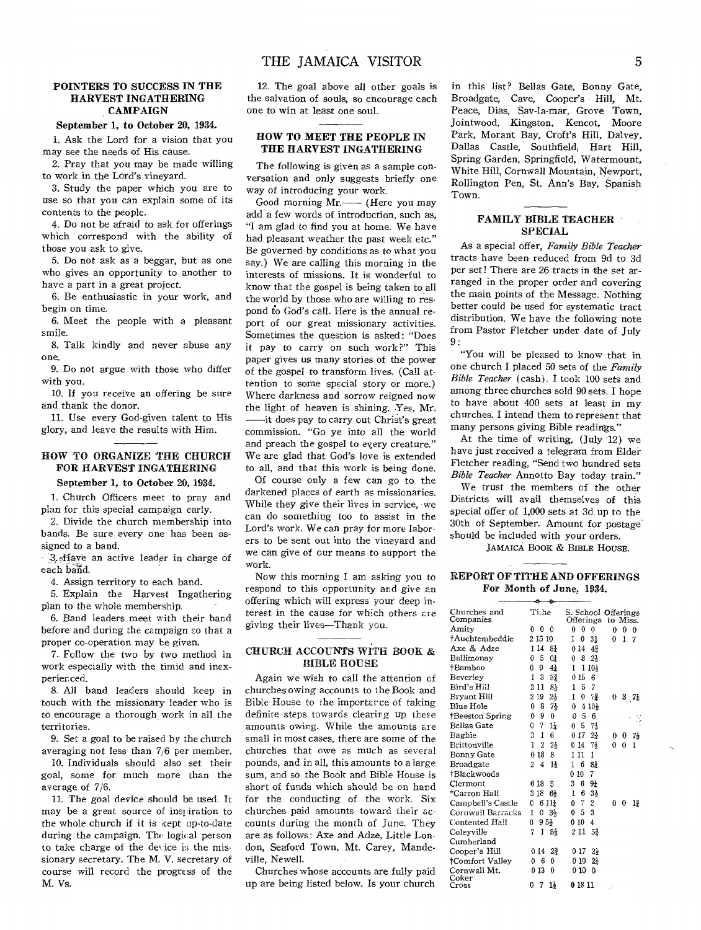#### **POINTERS TO SUCCESS IN THE HARVEST INGATHERING CAMPAIGN**

#### **September 1, to October 20, 1934.**

1. Ask the Lord for a vision that you may see the needs of His cause.

2. Pray that you may be made willing to work in the Lord's vineyard.

3. Study the paper which you are to use so that you can explain some of its contents to the people.

4. Do not be afraid to ask for offerings which correspond with the ability of those you ask to give.

5. Do not ask as a beggar, but as one who gives an opportunity to another to have a part in a great project.

6. Be enthusiastic in your work, and begin on time.

6. Meet the people with a pleasant smile.

8. Talk kindly and never abuse any one.

9. Do not argue with those who differ with you.

10. If you receive an offering be sure and thank the donor.

11. Use every God-given talent to His glory, and leave the results with Him.

# **HOW TO ORGANIZE THE CHURCH FOR HARVEST INGATHERING**

# **September 1, to October 20,** 1934.

1. Church Officers meet to pray and plan for this special campaign early.

2. Divide the church membership into bands. Be sure every one has been assigned to a band.

A.,:fIave an active leader in charge of each band.

4. Assign territory to each band.

5. Explain the Harvest Ingathering plan to the whole membership.

6. Band leaders meet with their band before and during the campaign so that a proper co-operation may be given.

7. Follow the two by two method in work especially with the timid and inexperien ced.

8. All band leaders should keep in touch with the missionary leader who is to encourage a thorough, work in all the territories.

9. Set a goal to be raised by the church averaging not less than 7/6 per member.

10. Individuals should also set their goal, some for much more than the average of 7/6.

11. The goal device should be used. It may be a great source of inspiration to the whole church if it is kept up-to-date during the campaign. The logical person to take charge of the device is the missionary secretary. The M. V. secretary of course will record the progress of the M. Vs.

**12. The** goal above all other goals is the salvation of souls, so encourage each one to win at least one soul.

### **HOW TO MEET THE PEOPLE IN THE HARVEST INGATHERING**

The following is given as a sample conversation and only suggests briefly one way of introducing your work.

Good morning Mr.— (Here you may add a few words of introduction, such as, "I am glad to find you at home. We have had pleasant weather the past week etc." Be governed by conditions as to what you say.) We are calling this morning in the interests of missions. It is wonderful to know that the gospel is being taken to all the world by those who are willing to respond to God's call. Here is the annual report of our great missionary activities. Sometimes the question is asked: "Does it pay to carry on such work?" This paper gives us many stories of the power of the gospel to transform lives. (Call attention to some special story or more.) Where darkness and sorrow reigned now the light of heaven is shining. Yes, Mr. —it does pay to carry out Christ's great commission. "Go ye into all the world and preach the gospel to every creature." We are glad that God's love is extended to all, and that this work is being done.

Of course only a few can go to the darkened places of earth as missionaries. While they give their lives in service, we can do something too to assist in the Lord's work. We can pray for more laborers to be sent out into the vineyard and we can give of our means to support the work.

Now this morning I am asking you to respond to this opportunity and give an offering which will express your deep interest in the cause for which others are giving their lives—Thank you.

## **CHURCH** ACCOUNTS WITH BOOK & BIBLE HOUSE

Again we wish to call the attention of churches owing accounts to the Book and Bible House to the importance of taking definite steps towards clearing up these amounts owing. While the amounts are small in most cases, there are some of the churches that owe as much as several pounds, and in all, this amounts to a large sum, and so the Book and Bible House is short of funds which should be on hand for the conducting of the work. Six churches paid amounts toward their accounts during the month of June. They are as follows: Axe and Adze, Little London, Seaford Town, Mt. Carey, Mandeville, Newell.

Churches whose accounts are fully paid up are being listed below. Is your church

in this list? Bellas Gate, Bonny Gate, Broadgate, Cave, Cooper's Hill, Mt. Peace, Dias, Say-la-mar, Grove Town, Jointwood, Kingston, Kencot, Moore Park, Morant Bay, Croft's Hill, Dalvey, Dallas Castle, Southfield, Hart Hill, Spring Garden, Springfield, Watermount, White Hill, Cornwall Mountain, Newport, Rollington Pen, St. Ann's Bay, Spanish Town.

## **FAMILY BIBLE TEACHER SPECIAL**

As a special offer, *Family Bible Teacher*  tracts have been- reduced from 9d to 3d per set! There are 26 tracts in the set arranged in the proper order and covering the main points of the Message. Nothing better could be used for systematic tract distribution. We have the following note from Pastor Fletcher under date of July 9:

"You will be pleased to know that in one church I placed 50 sets of the *Family Bible Teacher* (cash). I took 100 sets and among three churches sold 90 sets. I hope to have about 400 sets at least in my churches. I intend them to represent that many persons giving Bible readings."

At the time of writing, (July 12) we have just received a telegram from Elder Fletcher reading, "Send two hundred sets *Bible Teacher* Annotto Bay today. train."

We trust the members of the other Districts will avail themselves of this special offer of 1,000 sets at 3d, up to the 30th of September. Amount for postage. should be included with your orders.

JAMAICA BOOK & BIBLE HOUSE.

## **REPORT OF TITHE AND OFFERINGS For Month of June, 1934.**

| Churches and<br>Companies | Tiche                       | S. School Offerings<br>Offerings to Miss.        |  |  |  |  |  |
|---------------------------|-----------------------------|--------------------------------------------------|--|--|--|--|--|
| Amity                     | 0<br>0<br>$\Omega$          | $\Omega$<br>0<br>0<br>0<br>0<br>$\theta$         |  |  |  |  |  |
| †Auchtembeddie            | 2 15 10                     | 1<br>0<br>1<br>34<br>0<br>7                      |  |  |  |  |  |
| Axe & Adze                | 1 14<br>81                  | 0 14<br>42                                       |  |  |  |  |  |
| Ballimonay                | 5<br>0<br>0 <sup>1</sup>    | 8<br>$2\frac{1}{2}$<br>0                         |  |  |  |  |  |
| †Bamboo                   | 9<br>0<br>4 <sub>2</sub>    | 1 10}<br>1                                       |  |  |  |  |  |
| Beverley                  | 1<br>3<br>32                | 015<br>6                                         |  |  |  |  |  |
| Bird's Hill               | 211<br>8}                   | $\overline{5}$<br>7<br>1                         |  |  |  |  |  |
| Bryant Hill               | 219<br>$2\frac{1}{2}$       | 0<br>74<br>1<br>0371                             |  |  |  |  |  |
| <b>Blue Hole</b>          | 0<br>8<br>7ķ                | 4 10}<br>0                                       |  |  |  |  |  |
| †Beeston Spring           | 0<br>9<br>$\theta$          | 5<br>0.<br>6                                     |  |  |  |  |  |
| <b>Bellas Gate</b>        | 0<br>14<br>7                | 5<br>71<br>0                                     |  |  |  |  |  |
| Bagbie                    | 3<br>1<br>6                 | 0 17<br>$2\frac{1}{4}$<br>71<br>0<br>0           |  |  |  |  |  |
| Brittonville              | Ŧ<br>2<br>21                | 014<br>71<br>0<br>0<br>1                         |  |  |  |  |  |
| Bonny Gate                | 0 18<br>8                   | 1 11<br>1                                        |  |  |  |  |  |
| Broadgate                 | 2<br>4<br>$1\frac{1}{2}$    | 81<br>6.<br>ı                                    |  |  |  |  |  |
| †Blackwoods               |                             | 7<br>010                                         |  |  |  |  |  |
| Clermont                  | 6 18<br>5                   | 9 <sub>1</sub><br>3<br>6                         |  |  |  |  |  |
| *Carron Hall              | 3 18<br>61                  | 3}<br>1<br>-6                                    |  |  |  |  |  |
| Campbell's Castle         | $611\frac{1}{2}$<br>0       | $\overline{c}$<br>0 <sub>7</sub><br>0<br>0<br>12 |  |  |  |  |  |
| Cornwall Barracks         | 0.3 <sub>2</sub><br>1       | 3<br>0<br>5                                      |  |  |  |  |  |
| Contented Hall            | 95 <sub>2</sub><br>$\bf{0}$ | 010<br>4                                         |  |  |  |  |  |
| Coleyville                | $\mathbf{1}$<br>7<br>84     | 2 11<br>52                                       |  |  |  |  |  |
| Cumberland                |                             |                                                  |  |  |  |  |  |
| Cooper's Hill             | 014<br>$2\frac{3}{4}$       | 0 17 -<br>21                                     |  |  |  |  |  |
| <b>†Comfort Valley</b>    | 06<br>0                     | 010<br>$2\pm$                                    |  |  |  |  |  |
| Cornwall Mt.              | 013<br>0                    | 0 10<br>0                                        |  |  |  |  |  |
| Coker<br>Cross            | 7<br>1}<br>0                | 0 18 11                                          |  |  |  |  |  |
|                           |                             |                                                  |  |  |  |  |  |